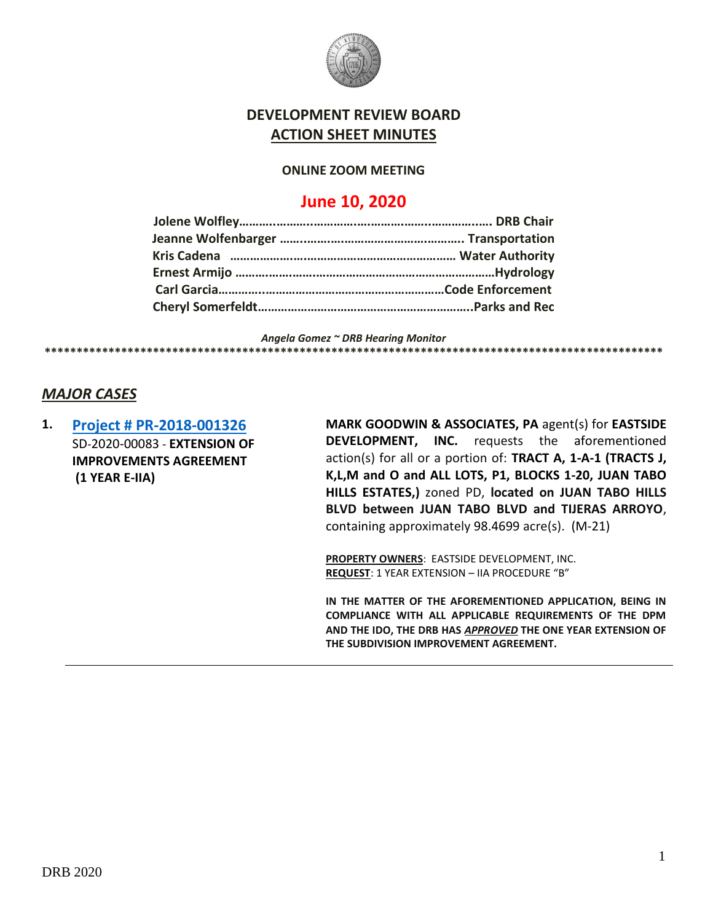

## **DEVELOPMENT REVIEW BOARD ACTION SHEET MINUTES**

#### **ONLINE ZOOM MEETING**

# **June 10, 2020**

*Angela Gomez ~ DRB Hearing Monitor* **\*\*\*\*\*\*\*\*\*\*\*\*\*\*\*\*\*\*\*\*\*\*\*\*\*\*\*\*\*\*\*\*\*\*\*\*\*\*\*\*\*\*\*\*\*\*\*\*\*\*\*\*\*\*\*\*\*\*\*\*\*\*\*\*\*\*\*\*\*\*\*\*\*\*\*\*\*\*\*\*\*\*\*\*\*\*\*\*\*\*\*\*\*\*\*\*\***

### *MAJOR CASES*

**1. [Project # PR-2018-001326](http://data.cabq.gov/government/planning/DRB/PR-2018-001326/DRB%20Submittals/PR-2018-001326_Jun_10_2020/Application/DRB%20EIIA%20Mark%20Goodwin%20PR-2018-001326%20SIGNED%20COPY.pdf)** SD-2020-00083 - **EXTENSION OF IMPROVEMENTS AGREEMENT (1 YEAR E-IIA)**

**MARK GOODWIN & ASSOCIATES, PA** agent(s) for **EASTSIDE DEVELOPMENT, INC.** requests the aforementioned action(s) for all or a portion of: **TRACT A, 1-A-1 (TRACTS J, K,L,M and O and ALL LOTS, P1, BLOCKS 1-20, JUAN TABO HILLS ESTATES,)** zoned PD, **located on JUAN TABO HILLS BLVD between JUAN TABO BLVD and TIJERAS ARROYO**, containing approximately 98.4699 acre(s). (M-21)

**PROPERTY OWNERS**: EASTSIDE DEVELOPMENT, INC. **REQUEST**: 1 YEAR EXTENSION – IIA PROCEDURE "B"

**IN THE MATTER OF THE AFOREMENTIONED APPLICATION, BEING IN COMPLIANCE WITH ALL APPLICABLE REQUIREMENTS OF THE DPM AND THE IDO, THE DRB HAS** *APPROVED* **THE ONE YEAR EXTENSION OF THE SUBDIVISION IMPROVEMENT AGREEMENT.**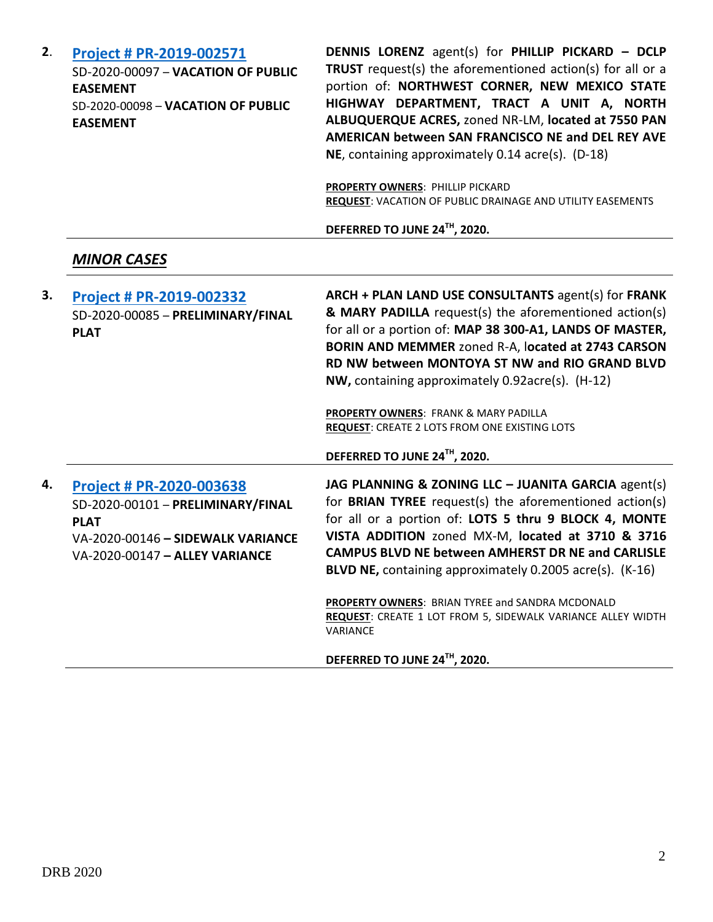| 2. | Project # PR-2019-002571<br>SD-2020-00097 - VACATION OF PUBLIC<br><b>EASEMENT</b><br>SD-2020-00098 - VACATION OF PUBLIC<br><b>EASEMENT</b>          | <b>DENNIS LORENZ</b> agent(s) for PHILLIP PICKARD - DCLP<br>TRUST request(s) the aforementioned action(s) for all or a<br>portion of: NORTHWEST CORNER, NEW MEXICO STATE<br>HIGHWAY DEPARTMENT, TRACT A UNIT A, NORTH<br>ALBUQUERQUE ACRES, zoned NR-LM, located at 7550 PAN<br>AMERICAN between SAN FRANCISCO NE and DEL REY AVE<br>NE, containing approximately 0.14 acre(s). (D-18)<br><b>PROPERTY OWNERS: PHILLIP PICKARD</b><br>REQUEST: VACATION OF PUBLIC DRAINAGE AND UTILITY EASEMENTS<br>DEFERRED TO JUNE 24TH, 2020.          |
|----|-----------------------------------------------------------------------------------------------------------------------------------------------------|------------------------------------------------------------------------------------------------------------------------------------------------------------------------------------------------------------------------------------------------------------------------------------------------------------------------------------------------------------------------------------------------------------------------------------------------------------------------------------------------------------------------------------------|
|    | <b>MINOR CASES</b>                                                                                                                                  |                                                                                                                                                                                                                                                                                                                                                                                                                                                                                                                                          |
| 3. | Project # PR-2019-002332<br>SD-2020-00085 - PRELIMINARY/FINAL<br><b>PLAT</b>                                                                        | ARCH + PLAN LAND USE CONSULTANTS agent(s) for FRANK<br>& MARY PADILLA request(s) the aforementioned action(s)<br>for all or a portion of: MAP 38 300-A1, LANDS OF MASTER,<br>BORIN AND MEMMER zoned R-A, located at 2743 CARSON<br>RD NW between MONTOYA ST NW and RIO GRAND BLVD<br>NW, containing approximately 0.92acre(s). (H-12)<br>PROPERTY OWNERS: FRANK & MARY PADILLA<br>REQUEST: CREATE 2 LOTS FROM ONE EXISTING LOTS<br>DEFERRED TO JUNE 24TH, 2020.                                                                          |
| 4. | Project # PR-2020-003638<br>SD-2020-00101 - PRELIMINARY/FINAL<br><b>PLAT</b><br>VA-2020-00146 - SIDEWALK VARIANCE<br>VA-2020-00147 - ALLEY VARIANCE | JAG PLANNING & ZONING LLC - JUANITA GARCIA agent(s)<br>for <b>BRIAN TYREE</b> request(s) the aforementioned action(s)<br>for all or a portion of: LOTS 5 thru 9 BLOCK 4, MONTE<br>VISTA ADDITION zoned MX-M, located at 3710 & 3716<br><b>CAMPUS BLVD NE between AMHERST DR NE and CARLISLE</b><br>BLVD NE, containing approximately 0.2005 acre(s). (K-16)<br><b>PROPERTY OWNERS: BRIAN TYREE and SANDRA MCDONALD</b><br><b>REQUEST:</b> CREATE 1 LOT FROM 5, SIDEWALK VARIANCE ALLEY WIDTH<br>VARIANCE<br>DEFERRED TO JUNE 24TH, 2020. |
|    |                                                                                                                                                     |                                                                                                                                                                                                                                                                                                                                                                                                                                                                                                                                          |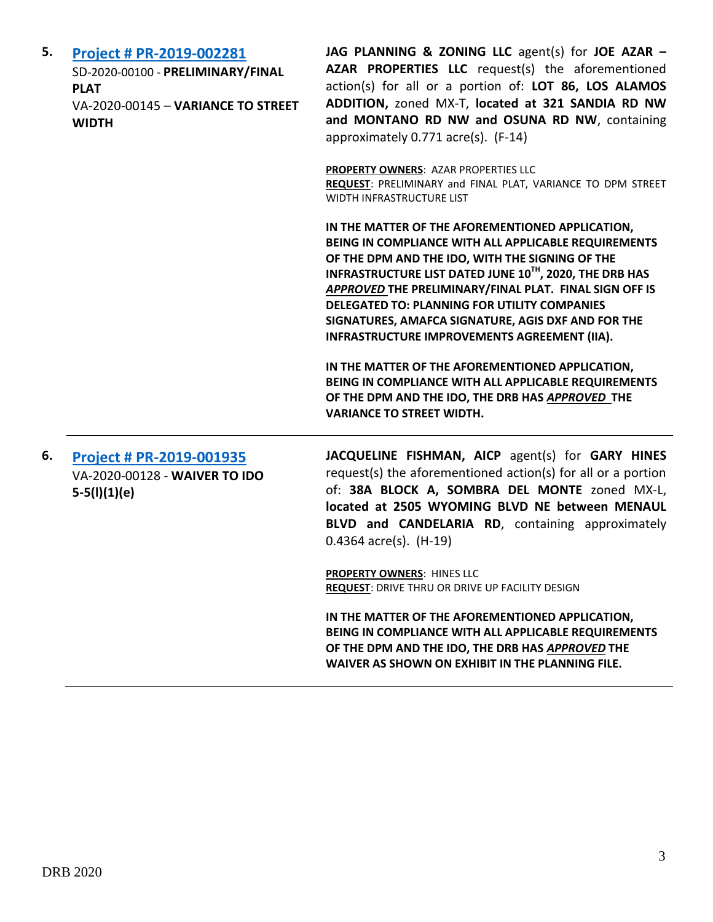| 5. | Project # PR-2019-002281<br>SD-2020-00100 - PRELIMINARY/FINAL<br><b>PLAT</b><br>VA-2020-00145 - VARIANCE TO STREET<br><b>WIDTH</b> | JAG PLANNING & ZONING LLC agent(s) for JOE AZAR -<br>AZAR PROPERTIES LLC request(s) the aforementioned<br>action(s) for all or a portion of: LOT 86, LOS ALAMOS<br>ADDITION, zoned MX-T, located at 321 SANDIA RD NW<br>and MONTANO RD NW and OSUNA RD NW, containing<br>approximately 0.771 acre(s). (F-14)                                                                                                                                 |
|----|------------------------------------------------------------------------------------------------------------------------------------|----------------------------------------------------------------------------------------------------------------------------------------------------------------------------------------------------------------------------------------------------------------------------------------------------------------------------------------------------------------------------------------------------------------------------------------------|
|    |                                                                                                                                    | PROPERTY OWNERS: AZAR PROPERTIES LLC<br>REQUEST: PRELIMINARY and FINAL PLAT, VARIANCE TO DPM STREET<br>WIDTH INFRASTRUCTURE LIST                                                                                                                                                                                                                                                                                                             |
|    |                                                                                                                                    | IN THE MATTER OF THE AFOREMENTIONED APPLICATION,<br>BEING IN COMPLIANCE WITH ALL APPLICABLE REQUIREMENTS<br>OF THE DPM AND THE IDO, WITH THE SIGNING OF THE<br>INFRASTRUCTURE LIST DATED JUNE 10TH, 2020, THE DRB HAS<br>APPROVED THE PRELIMINARY/FINAL PLAT. FINAL SIGN OFF IS<br><b>DELEGATED TO: PLANNING FOR UTILITY COMPANIES</b><br>SIGNATURES, AMAFCA SIGNATURE, AGIS DXF AND FOR THE<br>INFRASTRUCTURE IMPROVEMENTS AGREEMENT (IIA). |
|    |                                                                                                                                    | IN THE MATTER OF THE AFOREMENTIONED APPLICATION,<br>BEING IN COMPLIANCE WITH ALL APPLICABLE REQUIREMENTS<br>OF THE DPM AND THE IDO, THE DRB HAS APPROVED THE<br><b>VARIANCE TO STREET WIDTH.</b>                                                                                                                                                                                                                                             |
| 6. | <b>Project # PR-2019-001935</b><br>VA-2020-00128 - WAIVER TO IDO<br>$5-5(l)(1)(e)$                                                 | JACQUELINE FISHMAN, AICP agent(s) for GARY HINES<br>request(s) the aforementioned action(s) for all or a portion<br>of: 38A BLOCK A, SOMBRA DEL MONTE zoned MX-L,<br>located at 2505 WYOMING BLVD NE between MENAUL<br>BLVD and CANDELARIA RD, containing approximately<br>$0.4364$ acre(s). (H-19)                                                                                                                                          |
|    |                                                                                                                                    | <b>PROPERTY OWNERS: HINES LLC</b><br>REQUEST: DRIVE THRU OR DRIVE UP FACILITY DESIGN                                                                                                                                                                                                                                                                                                                                                         |
|    |                                                                                                                                    | IN THE MATTER OF THE AFOREMENTIONED APPLICATION,<br>BEING IN COMPLIANCE WITH ALL APPLICABLE REQUIREMENTS<br>OF THE DPM AND THE IDO, THE DRB HAS APPROVED THE<br>WAIVER AS SHOWN ON EXHIBIT IN THE PLANNING FILE.                                                                                                                                                                                                                             |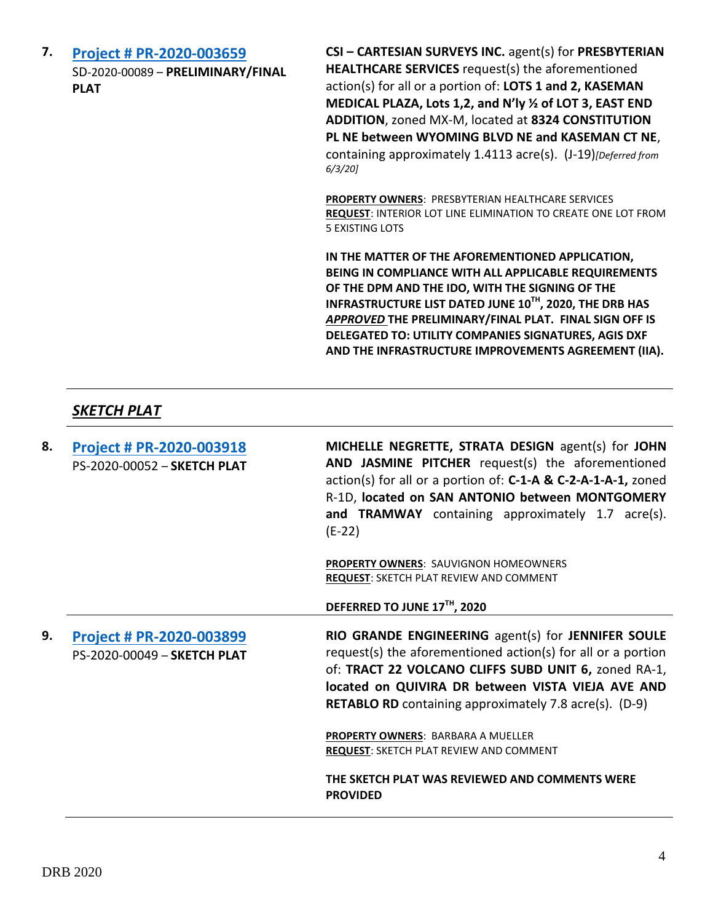**7. [Project # PR-2020-003659](http://data.cabq.gov/government/planning/DRB/PR-2020-003659/DRB%20Submittals/PR-2020-003659_Jun_03_2020/Application/PR-2020-003659%20Preliminary%20Plat%20Submittal.pdf)** SD-2020-00089 – **PRELIMINARY/FINAL PLAT**

**CSI – CARTESIAN SURVEYS INC.** agent(s) for **PRESBYTERIAN HEALTHCARE SERVICES** request(s) the aforementioned action(s) for all or a portion of: **LOTS 1 and 2, KASEMAN MEDICAL PLAZA, Lots 1,2, and N'ly ½ of LOT 3, EAST END ADDITION**, zoned MX-M, located at **8324 CONSTITUTION PL NE between WYOMING BLVD NE and KASEMAN CT NE**, containing approximately 1.4113 acre(s). (J-19)*[Deferred from 6/3/20]*

**PROPERTY OWNERS**: PRESBYTERIAN HEALTHCARE SERVICES **REQUEST**: INTERIOR LOT LINE ELIMINATION TO CREATE ONE LOT FROM 5 EXISTING LOTS

**IN THE MATTER OF THE AFOREMENTIONED APPLICATION, BEING IN COMPLIANCE WITH ALL APPLICABLE REQUIREMENTS OF THE DPM AND THE IDO, WITH THE SIGNING OF THE INFRASTRUCTURE LIST DATED JUNE 10TH, 2020, THE DRB HAS**  *APPROVED* **THE PRELIMINARY/FINAL PLAT. FINAL SIGN OFF IS DELEGATED TO: UTILITY COMPANIES SIGNATURES, AGIS DXF AND THE INFRASTRUCTURE IMPROVEMENTS AGREEMENT (IIA).**

### *SKETCH PLAT*

| 8. | <b>Project # PR-2020-003918</b><br>PS-2020-00052 - SKETCH PLAT | MICHELLE NEGRETTE, STRATA DESIGN agent(s) for JOHN<br>AND JASMINE PITCHER request(s) the aforementioned<br>action(s) for all or a portion of: C-1-A & C-2-A-1-A-1, zoned<br>R-1D, located on SAN ANTONIO between MONTGOMERY<br>and TRAMWAY containing approximately 1.7 acre(s).<br>$(E-22)$     |
|----|----------------------------------------------------------------|--------------------------------------------------------------------------------------------------------------------------------------------------------------------------------------------------------------------------------------------------------------------------------------------------|
|    |                                                                | <b>PROPERTY OWNERS: SAUVIGNON HOMEOWNERS</b><br><b>REQUEST: SKETCH PLAT REVIEW AND COMMENT</b>                                                                                                                                                                                                   |
|    |                                                                | DEFERRED TO JUNE 17TH, 2020                                                                                                                                                                                                                                                                      |
| 9. | Project # PR-2020-003899<br>PS-2020-00049 - SKETCH PLAT        | RIO GRANDE ENGINEERING agent(s) for JENNIFER SOULE<br>request(s) the aforementioned action(s) for all or a portion<br>of: TRACT 22 VOLCANO CLIFFS SUBD UNIT 6, zoned RA-1,<br>located on QUIVIRA DR between VISTA VIEJA AVE AND<br><b>RETABLO RD</b> containing approximately 7.8 acre(s). (D-9) |
|    |                                                                | <b>PROPERTY OWNERS: BARBARA A MUELLER</b><br><b>REQUEST: SKETCH PLAT REVIEW AND COMMENT</b>                                                                                                                                                                                                      |
|    |                                                                | THE SKETCH PLAT WAS REVIEWED AND COMMENTS WERE<br><b>PROVIDED</b>                                                                                                                                                                                                                                |